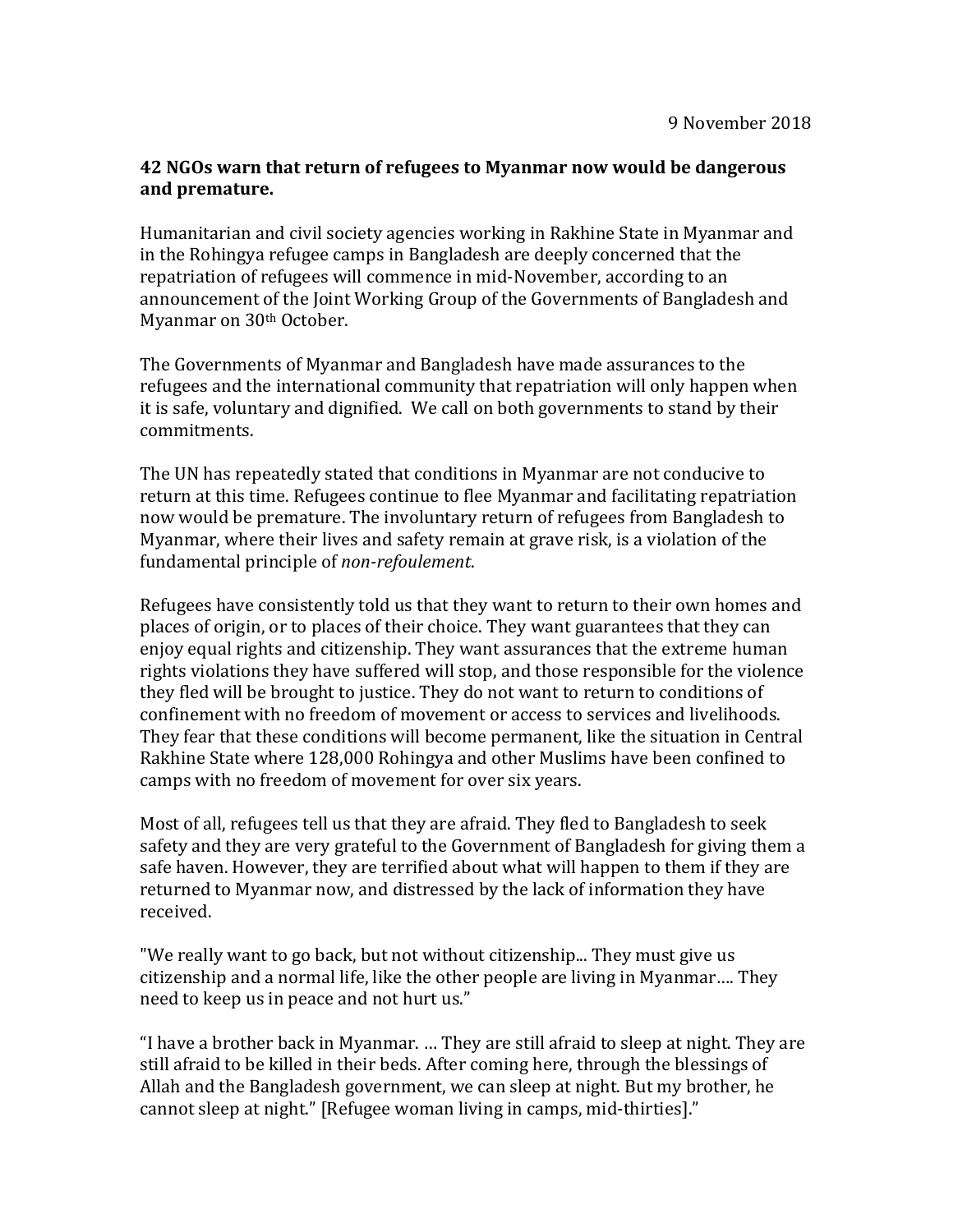## **42 NGOs warn that return of refugees to Myanmar now would be dangerous and premature.**

Humanitarian and civil society agencies working in Rakhine State in Myanmar and in the Rohingya refugee camps in Bangladesh are deeply concerned that the repatriation of refugees will commence in mid-November, according to an announcement of the Joint Working Group of the Governments of Bangladesh and Myanmar on 30th October.

The Governments of Myanmar and Bangladesh have made assurances to the refugees and the international community that repatriation will only happen when it is safe, voluntary and dignified. We call on both governments to stand by their commitments.

The UN has repeatedly stated that conditions in Myanmar are not conducive to return at this time. Refugees continue to flee Myanmar and facilitating repatriation now would be premature. The involuntary return of refugees from Bangladesh to Myanmar, where their lives and safety remain at grave risk, is a violation of the fundamental principle of *non-refoulement*.

Refugees have consistently told us that they want to return to their own homes and places of origin, or to places of their choice. They want guarantees that they can enjoy equal rights and citizenship. They want assurances that the extreme human rights violations they have suffered will stop, and those responsible for the violence they fled will be brought to justice. They do not want to return to conditions of confinement with no freedom of movement or access to services and livelihoods. They fear that these conditions will become permanent, like the situation in Central Rakhine State where 128,000 Rohingya and other Muslims have been confined to camps with no freedom of movement for over six years.

Most of all, refugees tell us that they are afraid. They fled to Bangladesh to seek safety and they are very grateful to the Government of Bangladesh for giving them a safe haven. However, they are terrified about what will happen to them if they are returned to Myanmar now, and distressed by the lack of information they have received.

"We really want to go back, but not without citizenship... They must give us citizenship and a normal life, like the other people are living in Myanmar…. They need to keep us in peace and not hurt us."

"I have a brother back in Myanmar. … They are still afraid to sleep at night. They are still afraid to be killed in their beds. After coming here, through the blessings of Allah and the Bangladesh government, we can sleep at night. But my brother, he cannot sleep at night." [Refugee woman living in camps, mid-thirties]."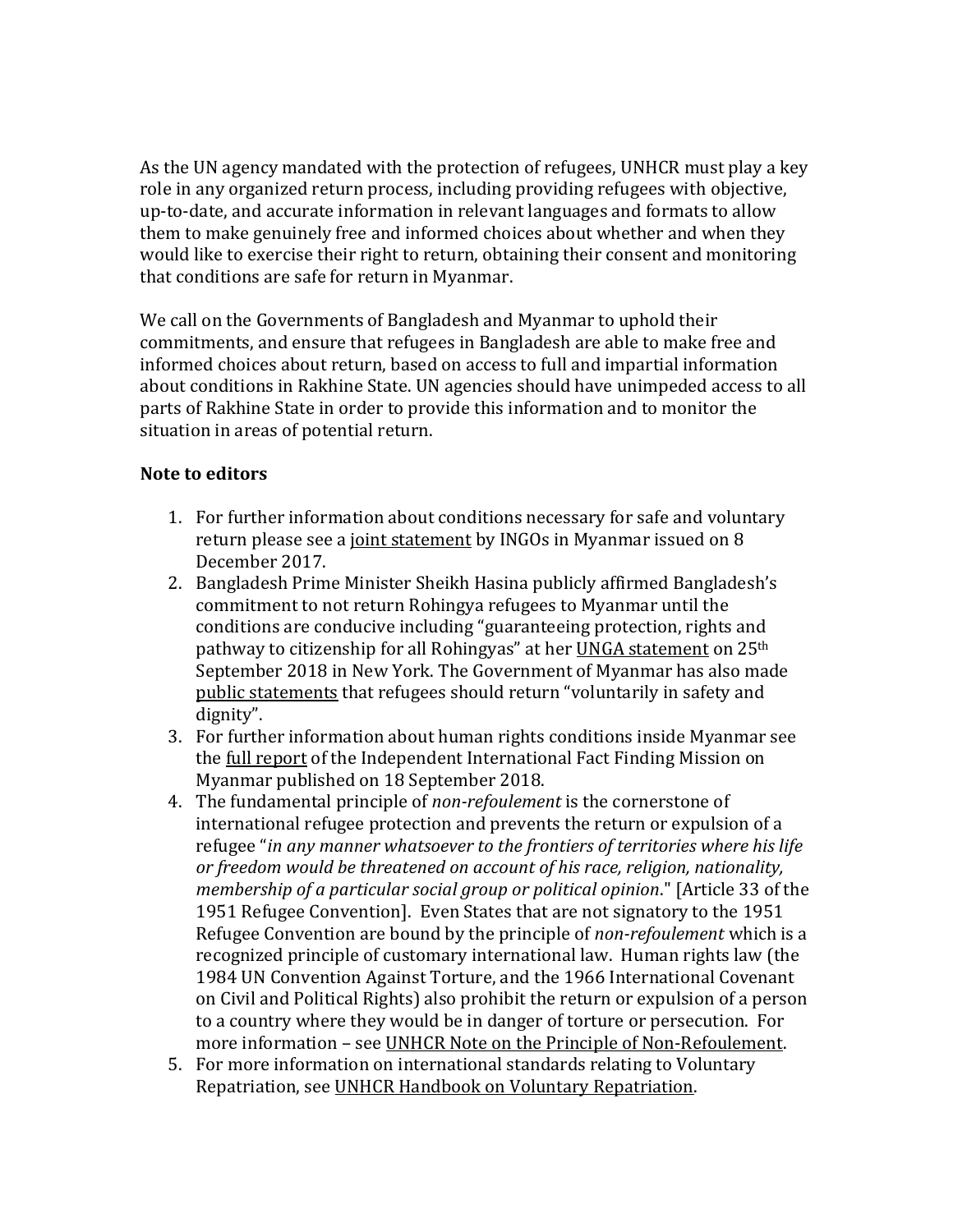As the UN agency mandated with the protection of refugees, UNHCR must play a key role in any organized return process, including providing refugees with objective, up-to-date, and accurate information in relevant languages and formats to allow them to make genuinely free and informed choices about whether and when they would like to exercise their right to return, obtaining their consent and monitoring that conditions are safe for return in Myanmar.

We call on the Governments of Bangladesh and Myanmar to uphold their commitments, and ensure that refugees in Bangladesh are able to make free and informed choices about return, based on access to full and impartial information about conditions in Rakhine State. UN agencies should have unimpeded access to all parts of Rakhine State in order to provide this information and to monitor the situation in areas of potential return.

## **Note to editors**

- 1. For further information about conditions necessary for safe and voluntary return please see a [joint statement](https://reliefweb.int/report/myanmar/humanitarian-organizations-call-guarantees-safety-and-rights-refugees-return-myanmar) by INGOs in Myanmar issued on 8 December 2017.
- 2. Bangladesh Prime Minister Sheikh Hasina publicly affirmed Bangladesh's commitment to not return Rohingya refugees to Myanmar until the conditions are conducive including "guaranteeing protection, rights and pathway to citizenship for all Rohingyas" at her [UNGA statement](https://mofa.gov.bd/site/press_release/16450e39-cff8-4ad8-a8a2-e25b5399aba7) on 25<sup>th</sup> September 2018 in New York. The Government of Myanmar has also made [public statements](http://www.statecounsellor.gov.mm/en/node/1974) that refugees should return "voluntarily in safety and dignity".
- 3. For further information about human rights conditions inside Myanmar see the [full report](https://www.ohchr.org/EN/HRBodies/HRC/MyanmarFFM/Pages/ReportoftheMyanmarFFM.aspx) of the Independent International Fact Finding Mission on Myanmar published on 18 September 2018.
- 4. The fundamental principle of *non-refoulement* is the cornerstone of international refugee protection and prevents the return or expulsion of a refugee "*in any manner whatsoever to the frontiers of territories where his life or freedom would be threatened on account of his race, religion, nationality, membership of a particular social group or political opinion*." [Article 33 of the 1951 Refugee Convention]. Even States that are not signatory to the 1951 Refugee Convention are bound by the principle of *non-refoulement* which is a recognized principle of customary international law. Human rights law (the 1984 UN Convention Against Torture, and the 1966 International Covenant on Civil and Political Rights) also prohibit the return or expulsion of a person to a country where they would be in danger of torture or persecution. For more information – see [UNHCR Note on the Principle of Non-Refoulement.](http://www.refworld.org/docid/438c6d972.html)
- 5. For more information on international standards relating to Voluntary Repatriation, see [UNHCR Handbook on Voluntary Repatriation.](http://www.unhcr.org/publications/legal/3bfe68d32/handbook-voluntary-repatriation-international-protection.html)